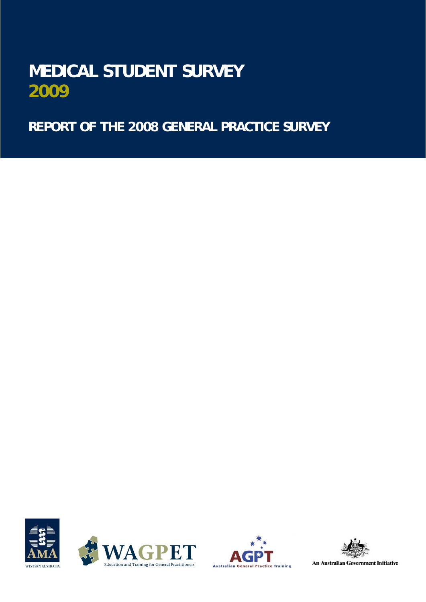# **MEDICAL STUDENT SURVEY 2009**

 **REPORT OF THE 2008 GENERAL PRACTICE SURVEY**









**An Australian Government Initiative**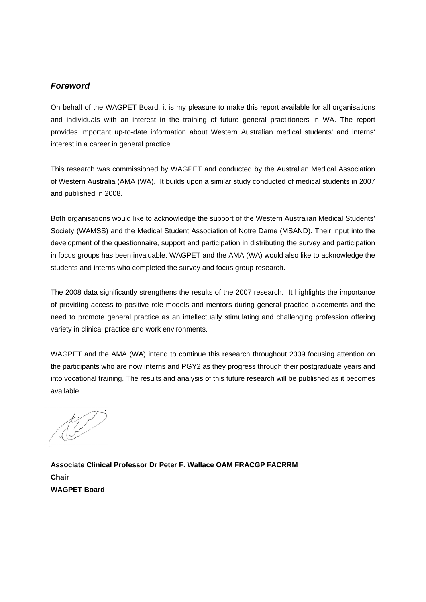## *Foreword*

On behalf of the WAGPET Board, it is my pleasure to make this report available for all organisations and individuals with an interest in the training of future general practitioners in WA. The report provides important up-to-date information about Western Australian medical students' and interns' interest in a career in general practice.

This research was commissioned by WAGPET and conducted by the Australian Medical Association of Western Australia (AMA (WA). It builds upon a similar study conducted of medical students in 2007 and published in 2008.

Both organisations would like to acknowledge the support of the Western Australian Medical Students' Society (WAMSS) and the Medical Student Association of Notre Dame (MSAND). Their input into the development of the questionnaire, support and participation in distributing the survey and participation in focus groups has been invaluable. WAGPET and the AMA (WA) would also like to acknowledge the students and interns who completed the survey and focus group research.

The 2008 data significantly strengthens the results of the 2007 research. It highlights the importance of providing access to positive role models and mentors during general practice placements and the need to promote general practice as an intellectually stimulating and challenging profession offering variety in clinical practice and work environments.

WAGPET and the AMA (WA) intend to continue this research throughout 2009 focusing attention on the participants who are now interns and PGY2 as they progress through their postgraduate years and into vocational training. The results and analysis of this future research will be published as it becomes available.

**Associate Clinical Professor Dr Peter F. Wallace OAM FRACGP FACRRM Chair WAGPET Board**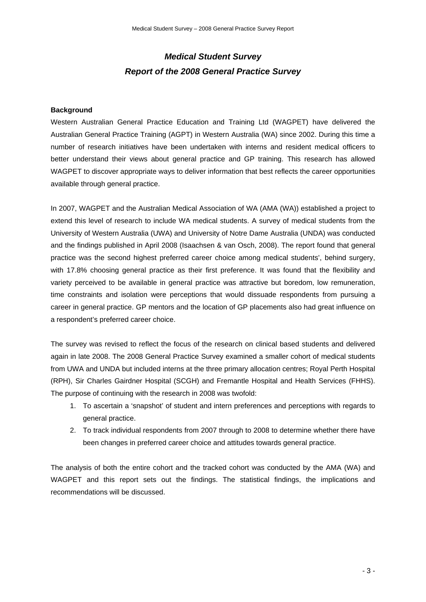## *Medical Student Survey Report of the 2008 General Practice Survey*

## **Background**

Western Australian General Practice Education and Training Ltd (WAGPET) have delivered the Australian General Practice Training (AGPT) in Western Australia (WA) since 2002. During this time a number of research initiatives have been undertaken with interns and resident medical officers to better understand their views about general practice and GP training. This research has allowed WAGPET to discover appropriate ways to deliver information that best reflects the career opportunities available through general practice.

In 2007, WAGPET and the Australian Medical Association of WA (AMA (WA)) established a project to extend this level of research to include WA medical students. A survey of medical students from the University of Western Australia (UWA) and University of Notre Dame Australia (UNDA) was conducted and the findings published in April 2008 (Isaachsen & van Osch, 2008). The report found that general practice was the second highest preferred career choice among medical students', behind surgery, with 17.8% choosing general practice as their first preference. It was found that the flexibility and variety perceived to be available in general practice was attractive but boredom, low remuneration, time constraints and isolation were perceptions that would dissuade respondents from pursuing a career in general practice. GP mentors and the location of GP placements also had great influence on a respondent's preferred career choice.

The survey was revised to reflect the focus of the research on clinical based students and delivered again in late 2008. The 2008 General Practice Survey examined a smaller cohort of medical students from UWA and UNDA but included interns at the three primary allocation centres; Royal Perth Hospital (RPH), Sir Charles Gairdner Hospital (SCGH) and Fremantle Hospital and Health Services (FHHS). The purpose of continuing with the research in 2008 was twofold:

- 1. To ascertain a 'snapshot' of student and intern preferences and perceptions with regards to general practice.
- 2. To track individual respondents from 2007 through to 2008 to determine whether there have been changes in preferred career choice and attitudes towards general practice.

The analysis of both the entire cohort and the tracked cohort was conducted by the AMA (WA) and WAGPET and this report sets out the findings. The statistical findings, the implications and recommendations will be discussed.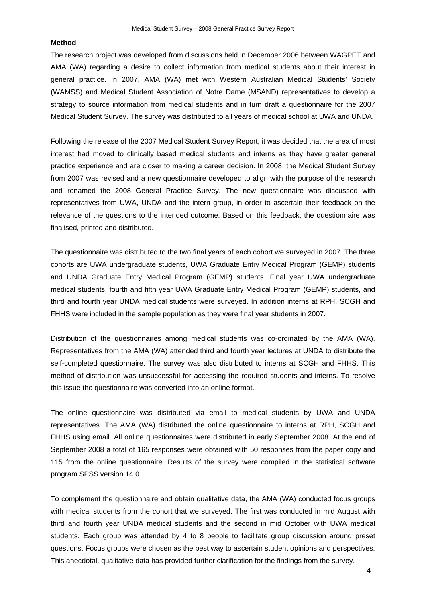## **Method**

The research project was developed from discussions held in December 2006 between WAGPET and AMA (WA) regarding a desire to collect information from medical students about their interest in general practice. In 2007, AMA (WA) met with Western Australian Medical Students' Society (WAMSS) and Medical Student Association of Notre Dame (MSAND) representatives to develop a strategy to source information from medical students and in turn draft a questionnaire for the 2007 Medical Student Survey. The survey was distributed to all years of medical school at UWA and UNDA.

Following the release of the 2007 Medical Student Survey Report, it was decided that the area of most interest had moved to clinically based medical students and interns as they have greater general practice experience and are closer to making a career decision. In 2008, the Medical Student Survey from 2007 was revised and a new questionnaire developed to align with the purpose of the research and renamed the 2008 General Practice Survey. The new questionnaire was discussed with representatives from UWA, UNDA and the intern group, in order to ascertain their feedback on the relevance of the questions to the intended outcome. Based on this feedback, the questionnaire was finalised, printed and distributed.

The questionnaire was distributed to the two final years of each cohort we surveyed in 2007. The three cohorts are UWA undergraduate students, UWA Graduate Entry Medical Program (GEMP) students and UNDA Graduate Entry Medical Program (GEMP) students. Final year UWA undergraduate medical students, fourth and fifth year UWA Graduate Entry Medical Program (GEMP) students, and third and fourth year UNDA medical students were surveyed. In addition interns at RPH, SCGH and FHHS were included in the sample population as they were final year students in 2007.

Distribution of the questionnaires among medical students was co-ordinated by the AMA (WA). Representatives from the AMA (WA) attended third and fourth year lectures at UNDA to distribute the self-completed questionnaire. The survey was also distributed to interns at SCGH and FHHS. This method of distribution was unsuccessful for accessing the required students and interns. To resolve this issue the questionnaire was converted into an online format.

The online questionnaire was distributed via email to medical students by UWA and UNDA representatives. The AMA (WA) distributed the online questionnaire to interns at RPH, SCGH and FHHS using email. All online questionnaires were distributed in early September 2008. At the end of September 2008 a total of 165 responses were obtained with 50 responses from the paper copy and 115 from the online questionnaire. Results of the survey were compiled in the statistical software program SPSS version 14.0.

To complement the questionnaire and obtain qualitative data, the AMA (WA) conducted focus groups with medical students from the cohort that we surveyed. The first was conducted in mid August with third and fourth year UNDA medical students and the second in mid October with UWA medical students. Each group was attended by 4 to 8 people to facilitate group discussion around preset questions. Focus groups were chosen as the best way to ascertain student opinions and perspectives. This anecdotal, qualitative data has provided further clarification for the findings from the survey.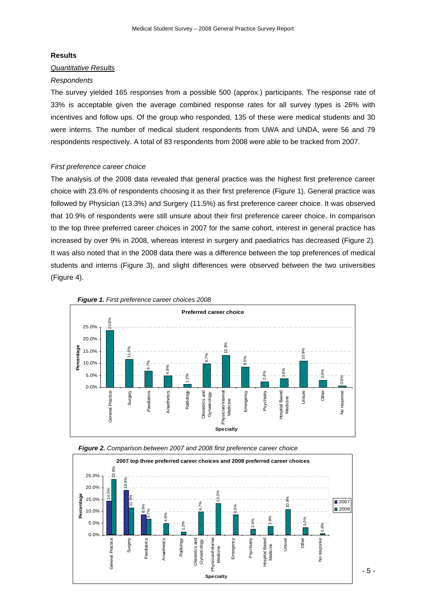#### **Results**

## *Quantitative Results*

## *Respondents*

The survey yielded 165 responses from a possible 500 (approx.) participants. The response rate of 33% is acceptable given the average combined response rates for all survey types is 26% with incentives and follow ups. Of the group who responded, 135 of these were medical students and 30 were interns. The number of medical student respondents from UWA and UNDA, were 56 and 79 respondents respectively. A total of 83 respondents from 2008 were able to be tracked from 2007.

## *First preference career choice*

The analysis of the 2008 data revealed that general practice was the highest first preference career choice with 23.6% of respondents choosing it as their first preference (Figure 1). General practice was followed by Physician (13.3%) and Surgery (11.5%) as first preference career choice. It was observed that 10.9% of respondents were still unsure about their first preference career choice. In comparison to the top three preferred career choices in 2007 for the same cohort, interest in general practice has increased by over 9% in 2008, whereas interest in surgery and paediatrics has decreased (Figure 2). It was also noted that in the 2008 data there was a difference between the top preferences of medical students and interns (Figure 3), and slight differences were observed between the two universities (Figure 4).





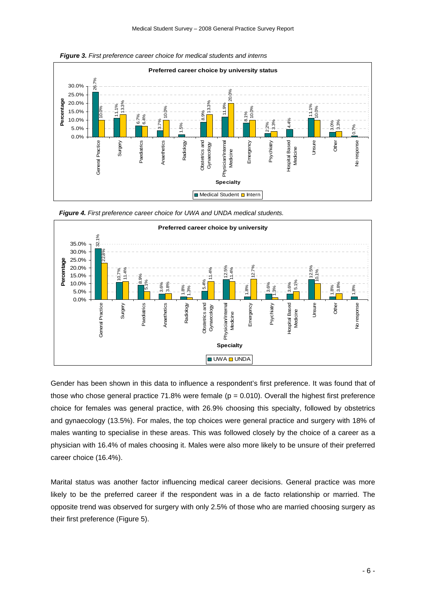

*Figure 4. First preference career choice for UWA and UNDA medical students.* 



Gender has been shown in this data to influence a respondent's first preference. It was found that of those who chose general practice 71.8% were female ( $p = 0.010$ ). Overall the highest first preference choice for females was general practice, with 26.9% choosing this specialty, followed by obstetrics and gynaecology (13.5%). For males, the top choices were general practice and surgery with 18% of males wanting to specialise in these areas. This was followed closely by the choice of a career as a physician with 16.4% of males choosing it. Males were also more likely to be unsure of their preferred career choice (16.4%).

Marital status was another factor influencing medical career decisions. General practice was more likely to be the preferred career if the respondent was in a de facto relationship or married. The opposite trend was observed for surgery with only 2.5% of those who are married choosing surgery as their first preference (Figure 5).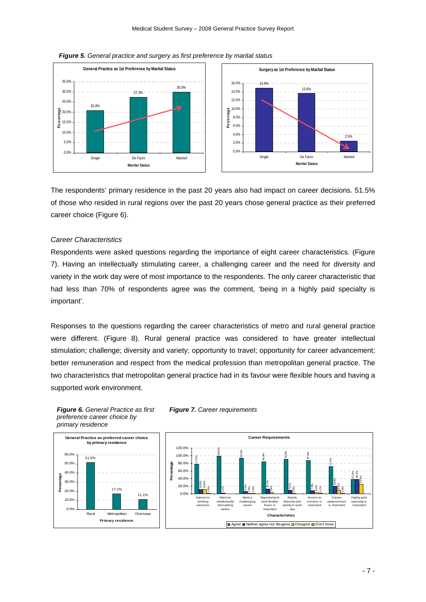

*Figure 5. General practice and surgery as first preference by marital status* 

The respondents' primary residence in the past 20 years also had impact on career decisions. 51.5% of those who resided in rural regions over the past 20 years chose general practice as their preferred career choice (Figure 6).

#### *Career Characteristics*

Respondents were asked questions regarding the importance of eight career characteristics*.* (Figure 7). Having an intellectually stimulating career, a challenging career and the need for diversity and variety in the work day were of most importance to the respondents. The only career characteristic that had less than 70% of respondents agree was the comment, 'being in a highly paid specialty is important'.

Responses to the questions regarding the career characteristics of metro and rural general practice were different. (Figure 8). Rural general practice was considered to have greater intellectual stimulation; challenge; diversity and variety; opportunity to travel; opportunity for career advancement; better remuneration and respect from the medical profession than metropolitan general practice. The two characteristics that metropolitan general practice had in its favour were flexible hours and having a supported work environment.



*preference career choice by* 

#### *Figure 6. General Practice as first Figure 7. Career requirements*

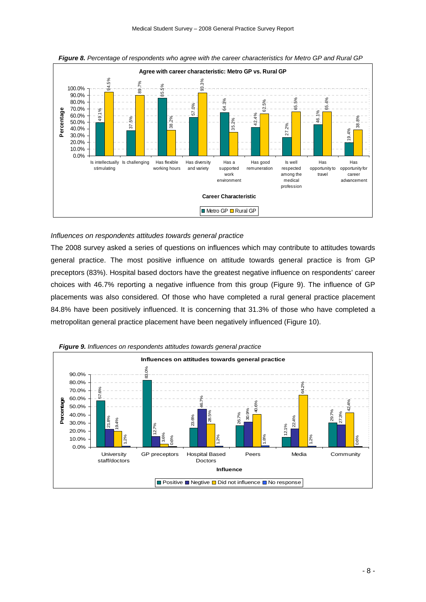

*Figure 8. Percentage of respondents who agree with the career characteristics for Metro GP and Rural GP* 

## *Influences on respondents attitudes towards general practice*

The 2008 survey asked a series of questions on influences which may contribute to attitudes towards general practice. The most positive influence on attitude towards general practice is from GP preceptors (83%). Hospital based doctors have the greatest negative influence on respondents' career choices with 46.7% reporting a negative influence from this group (Figure 9). The influence of GP placements was also considered. Of those who have completed a rural general practice placement 84.8% have been positively influenced. It is concerning that 31.3% of those who have completed a metropolitan general practice placement have been negatively influenced (Figure 10).



*Figure 9. Influences on respondents attitudes towards general practice*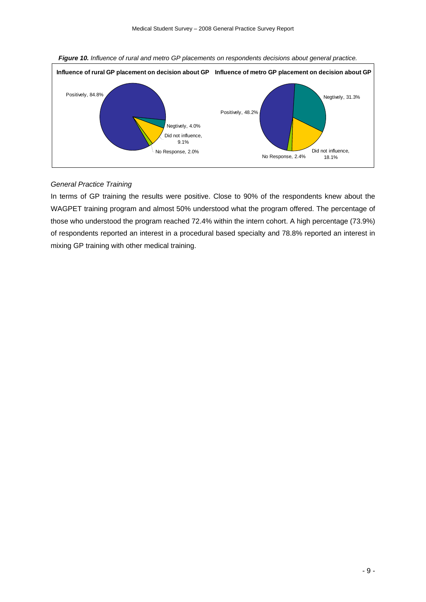



## *General Practice Training*

In terms of GP training the results were positive. Close to 90% of the respondents knew about the WAGPET training program and almost 50% understood what the program offered. The percentage of those who understood the program reached 72.4% within the intern cohort. A high percentage (73.9%) of respondents reported an interest in a procedural based specialty and 78.8% reported an interest in mixing GP training with other medical training.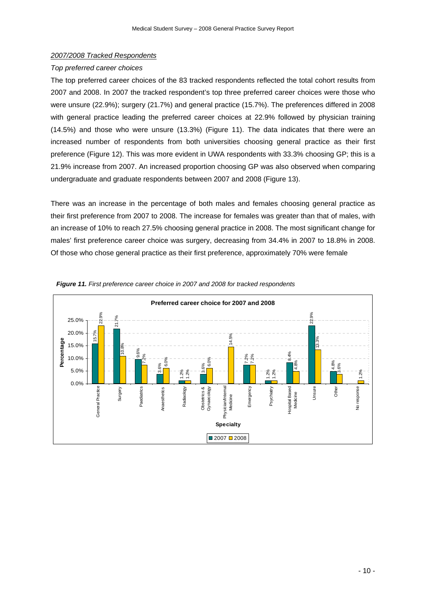## *2007/2008 Tracked Respondents*

## *Top preferred career choices*

The top preferred career choices of the 83 tracked respondents reflected the total cohort results from 2007 and 2008. In 2007 the tracked respondent's top three preferred career choices were those who were unsure (22.9%); surgery (21.7%) and general practice (15.7%). The preferences differed in 2008 with general practice leading the preferred career choices at 22.9% followed by physician training (14.5%) and those who were unsure (13.3%) (Figure 11). The data indicates that there were an increased number of respondents from both universities choosing general practice as their first preference (Figure 12). This was more evident in UWA respondents with 33.3% choosing GP; this is a 21.9% increase from 2007. An increased proportion choosing GP was also observed when comparing undergraduate and graduate respondents between 2007 and 2008 (Figure 13).

There was an increase in the percentage of both males and females choosing general practice as their first preference from 2007 to 2008. The increase for females was greater than that of males, with an increase of 10% to reach 27.5% choosing general practice in 2008. The most significant change for males' first preference career choice was surgery, decreasing from 34.4% in 2007 to 18.8% in 2008. Of those who chose general practice as their first preference, approximately 70% were female



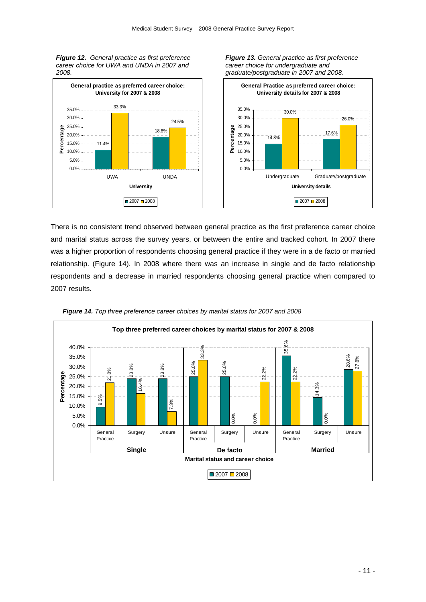*Figure 12. General practice as first preference career choice for UWA and UNDA in 2007 and 2008.* 





*Figure 13. General practice as first preference* 

*career choice for undergraduate and* 

There is no consistent trend observed between general practice as the first preference career choice and marital status across the survey years, or between the entire and tracked cohort. In 2007 there was a higher proportion of respondents choosing general practice if they were in a de facto or married relationship. (Figure 14). In 2008 where there was an increase in single and de facto relationship respondents and a decrease in married respondents choosing general practice when compared to 2007 results.



*Figure 14. Top three preference career choices by marital status for 2007 and 2008*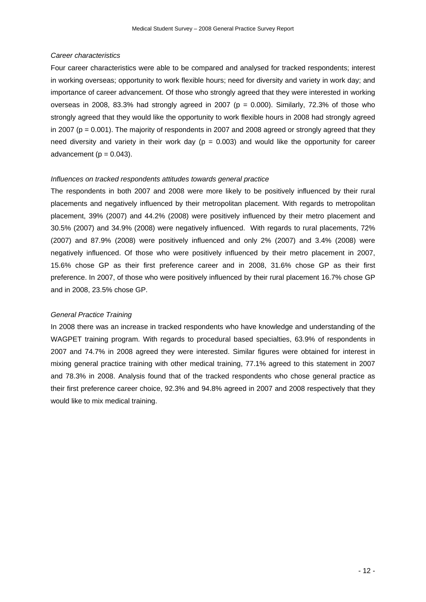## *Career characteristics*

Four career characteristics were able to be compared and analysed for tracked respondents; interest in working overseas; opportunity to work flexible hours; need for diversity and variety in work day; and importance of career advancement. Of those who strongly agreed that they were interested in working overseas in 2008, 83.3% had strongly agreed in 2007 ( $p = 0.000$ ). Similarly, 72.3% of those who strongly agreed that they would like the opportunity to work flexible hours in 2008 had strongly agreed in 2007 ( $p = 0.001$ ). The majority of respondents in 2007 and 2008 agreed or strongly agreed that they need diversity and variety in their work day ( $p = 0.003$ ) and would like the opportunity for career advancement  $(p = 0.043)$ .

## *Influences on tracked respondents attitudes towards general practice*

The respondents in both 2007 and 2008 were more likely to be positively influenced by their rural placements and negatively influenced by their metropolitan placement. With regards to metropolitan placement, 39% (2007) and 44.2% (2008) were positively influenced by their metro placement and 30.5% (2007) and 34.9% (2008) were negatively influenced. With regards to rural placements, 72% (2007) and 87.9% (2008) were positively influenced and only 2% (2007) and 3.4% (2008) were negatively influenced. Of those who were positively influenced by their metro placement in 2007, 15.6% chose GP as their first preference career and in 2008, 31.6% chose GP as their first preference. In 2007, of those who were positively influenced by their rural placement 16.7% chose GP and in 2008, 23.5% chose GP.

## *General Practice Training*

In 2008 there was an increase in tracked respondents who have knowledge and understanding of the WAGPET training program. With regards to procedural based specialties, 63.9% of respondents in 2007 and 74.7% in 2008 agreed they were interested. Similar figures were obtained for interest in mixing general practice training with other medical training, 77.1% agreed to this statement in 2007 and 78.3% in 2008. Analysis found that of the tracked respondents who chose general practice as their first preference career choice, 92.3% and 94.8% agreed in 2007 and 2008 respectively that they would like to mix medical training.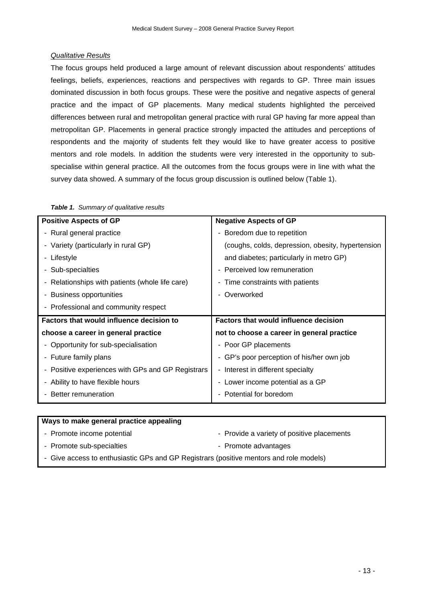## *Qualitative Results*

The focus groups held produced a large amount of relevant discussion about respondents' attitudes feelings, beliefs, experiences, reactions and perspectives with regards to GP. Three main issues dominated discussion in both focus groups. These were the positive and negative aspects of general practice and the impact of GP placements. Many medical students highlighted the perceived differences between rural and metropolitan general practice with rural GP having far more appeal than metropolitan GP. Placements in general practice strongly impacted the attitudes and perceptions of respondents and the majority of students felt they would like to have greater access to positive mentors and role models. In addition the students were very interested in the opportunity to subspecialise within general practice. All the outcomes from the focus groups were in line with what the survey data showed. A summary of the focus group discussion is outlined below (Table 1).

| <b>Positive Aspects of GP</b>                     | <b>Negative Aspects of GP</b>                     |
|---------------------------------------------------|---------------------------------------------------|
| - Rural general practice                          | - Boredom due to repetition                       |
| - Variety (particularly in rural GP)              | (coughs, colds, depression, obesity, hypertension |
| Lifestyle                                         | and diabetes; particularly in metro GP)           |
| - Sub-specialties                                 | - Perceived low remuneration                      |
| - Relationships with patients (whole life care)   | - Time constraints with patients                  |
| <b>Business opportunities</b>                     | Overworked                                        |
| - Professional and community respect              |                                                   |
| Factors that would influence decision to          | Factors that would influence decision             |
| choose a career in general practice               | not to choose a career in general practice        |
| - Opportunity for sub-specialisation              | - Poor GP placements                              |
| - Future family plans                             | - GP's poor perception of his/her own job         |
| - Positive experiences with GPs and GP Registrars | - Interest in different specialty                 |
| - Ability to have flexible hours                  | - Lower income potential as a GP                  |
| Better remuneration                               | - Potential for boredom                           |

|  | Table 1. Summary of qualitative results |
|--|-----------------------------------------|
|--|-----------------------------------------|

| - Provide a variety of positive placements<br>- Promote income potential<br>- Promote sub-specialties<br>- Promote advantages<br>- Give access to enthusiastic GPs and GP Registrars (positive mentors and role models) | Ways to make general practice appealing |  |  |
|-------------------------------------------------------------------------------------------------------------------------------------------------------------------------------------------------------------------------|-----------------------------------------|--|--|
|                                                                                                                                                                                                                         |                                         |  |  |
|                                                                                                                                                                                                                         |                                         |  |  |
|                                                                                                                                                                                                                         |                                         |  |  |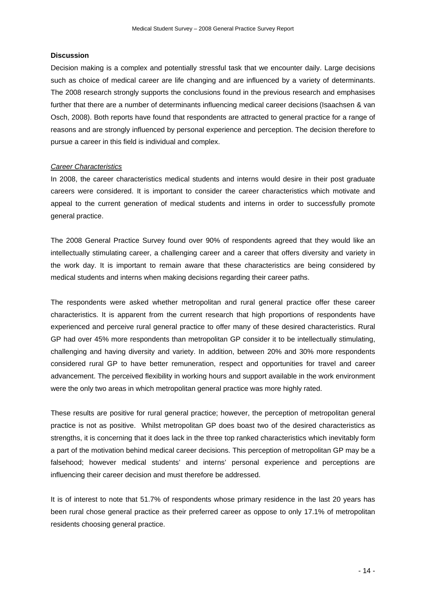## **Discussion**

Decision making is a complex and potentially stressful task that we encounter daily. Large decisions such as choice of medical career are life changing and are influenced by a variety of determinants. The 2008 research strongly supports the conclusions found in the previous research and emphasises further that there are a number of determinants influencing medical career decisions (Isaachsen & van Osch, 2008). Both reports have found that respondents are attracted to general practice for a range of reasons and are strongly influenced by personal experience and perception. The decision therefore to pursue a career in this field is individual and complex.

## *Career Characteristics*

In 2008, the career characteristics medical students and interns would desire in their post graduate careers were considered. It is important to consider the career characteristics which motivate and appeal to the current generation of medical students and interns in order to successfully promote general practice.

The 2008 General Practice Survey found over 90% of respondents agreed that they would like an intellectually stimulating career, a challenging career and a career that offers diversity and variety in the work day. It is important to remain aware that these characteristics are being considered by medical students and interns when making decisions regarding their career paths.

The respondents were asked whether metropolitan and rural general practice offer these career characteristics. It is apparent from the current research that high proportions of respondents have experienced and perceive rural general practice to offer many of these desired characteristics. Rural GP had over 45% more respondents than metropolitan GP consider it to be intellectually stimulating, challenging and having diversity and variety. In addition, between 20% and 30% more respondents considered rural GP to have better remuneration, respect and opportunities for travel and career advancement. The perceived flexibility in working hours and support available in the work environment were the only two areas in which metropolitan general practice was more highly rated.

These results are positive for rural general practice; however, the perception of metropolitan general practice is not as positive. Whilst metropolitan GP does boast two of the desired characteristics as strengths, it is concerning that it does lack in the three top ranked characteristics which inevitably form a part of the motivation behind medical career decisions. This perception of metropolitan GP may be a falsehood; however medical students' and interns' personal experience and perceptions are influencing their career decision and must therefore be addressed.

It is of interest to note that 51.7% of respondents whose primary residence in the last 20 years has been rural chose general practice as their preferred career as oppose to only 17.1% of metropolitan residents choosing general practice.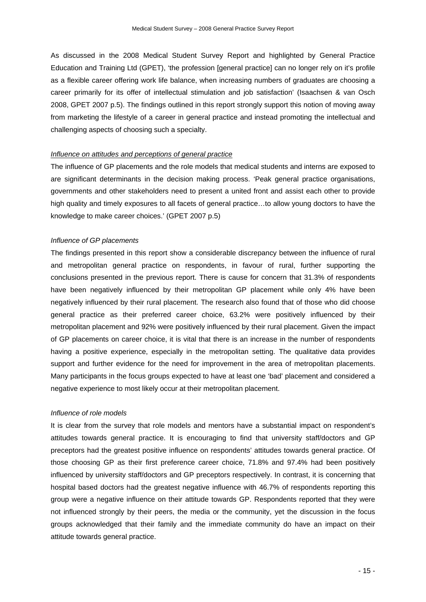As discussed in the 2008 Medical Student Survey Report and highlighted by General Practice Education and Training Ltd (GPET), 'the profession [general practice] can no longer rely on it's profile as a flexible career offering work life balance, when increasing numbers of graduates are choosing a career primarily for its offer of intellectual stimulation and job satisfaction' (Isaachsen & van Osch 2008, GPET 2007 p.5). The findings outlined in this report strongly support this notion of moving away from marketing the lifestyle of a career in general practice and instead promoting the intellectual and challenging aspects of choosing such a specialty.

#### *Influence on attitudes and perceptions of general practice*

The influence of GP placements and the role models that medical students and interns are exposed to are significant determinants in the decision making process. 'Peak general practice organisations, governments and other stakeholders need to present a united front and assist each other to provide high quality and timely exposures to all facets of general practice…to allow young doctors to have the knowledge to make career choices.' (GPET 2007 p.5)

## *Influence of GP placements*

The findings presented in this report show a considerable discrepancy between the influence of rural and metropolitan general practice on respondents, in favour of rural, further supporting the conclusions presented in the previous report. There is cause for concern that 31.3% of respondents have been negatively influenced by their metropolitan GP placement while only 4% have been negatively influenced by their rural placement. The research also found that of those who did choose general practice as their preferred career choice, 63.2% were positively influenced by their metropolitan placement and 92% were positively influenced by their rural placement. Given the impact of GP placements on career choice, it is vital that there is an increase in the number of respondents having a positive experience, especially in the metropolitan setting. The qualitative data provides support and further evidence for the need for improvement in the area of metropolitan placements. Many participants in the focus groups expected to have at least one 'bad' placement and considered a negative experience to most likely occur at their metropolitan placement.

#### *Influence of role models*

It is clear from the survey that role models and mentors have a substantial impact on respondent's attitudes towards general practice. It is encouraging to find that university staff/doctors and GP preceptors had the greatest positive influence on respondents' attitudes towards general practice. Of those choosing GP as their first preference career choice, 71.8% and 97.4% had been positively influenced by university staff/doctors and GP preceptors respectively. In contrast, it is concerning that hospital based doctors had the greatest negative influence with 46.7% of respondents reporting this group were a negative influence on their attitude towards GP. Respondents reported that they were not influenced strongly by their peers, the media or the community, yet the discussion in the focus groups acknowledged that their family and the immediate community do have an impact on their attitude towards general practice.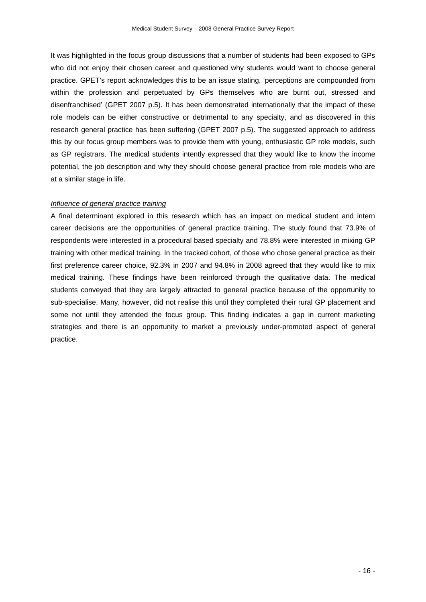It was highlighted in the focus group discussions that a number of students had been exposed to GPs who did not enjoy their chosen career and questioned why students would want to choose general practice. GPET's report acknowledges this to be an issue stating, 'perceptions are compounded from within the profession and perpetuated by GPs themselves who are burnt out, stressed and disenfranchised' (GPET 2007 p.5). It has been demonstrated internationally that the impact of these role models can be either constructive or detrimental to any specialty, and as discovered in this research general practice has been suffering (GPET 2007 p.5). The suggested approach to address this by our focus group members was to provide them with young, enthusiastic GP role models, such as GP registrars. The medical students intently expressed that they would like to know the income potential, the job description and why they should choose general practice from role models who are at a similar stage in life.

#### *Influence of general practice training*

A final determinant explored in this research which has an impact on medical student and intern career decisions are the opportunities of general practice training. The study found that 73.9% of respondents were interested in a procedural based specialty and 78.8% were interested in mixing GP training with other medical training. In the tracked cohort, of those who chose general practice as their first preference career choice, 92.3% in 2007 and 94.8% in 2008 agreed that they would like to mix medical training. These findings have been reinforced through the qualitative data. The medical students conveyed that they are largely attracted to general practice because of the opportunity to sub-specialise. Many, however, did not realise this until they completed their rural GP placement and some not until they attended the focus group. This finding indicates a gap in current marketing strategies and there is an opportunity to market a previously under-promoted aspect of general practice.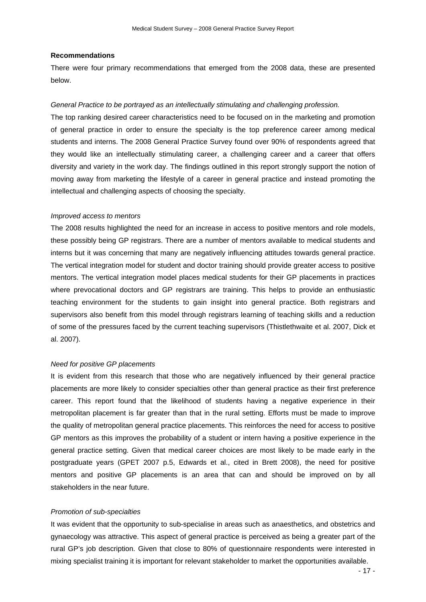#### **Recommendations**

There were four primary recommendations that emerged from the 2008 data, these are presented below.

#### *General Practice to be portrayed as an intellectually stimulating and challenging profession.*

The top ranking desired career characteristics need to be focused on in the marketing and promotion of general practice in order to ensure the specialty is the top preference career among medical students and interns. The 2008 General Practice Survey found over 90% of respondents agreed that they would like an intellectually stimulating career, a challenging career and a career that offers diversity and variety in the work day. The findings outlined in this report strongly support the notion of moving away from marketing the lifestyle of a career in general practice and instead promoting the intellectual and challenging aspects of choosing the specialty.

#### *Improved access to mentors*

The 2008 results highlighted the need for an increase in access to positive mentors and role models, these possibly being GP registrars. There are a number of mentors available to medical students and interns but it was concerning that many are negatively influencing attitudes towards general practice. The vertical integration model for student and doctor training should provide greater access to positive mentors. The vertical integration model places medical students for their GP placements in practices where prevocational doctors and GP registrars are training. This helps to provide an enthusiastic teaching environment for the students to gain insight into general practice. Both registrars and supervisors also benefit from this model through registrars learning of teaching skills and a reduction of some of the pressures faced by the current teaching supervisors (Thistlethwaite et al. 2007, Dick et al. 2007).

#### *Need for positive GP placements*

It is evident from this research that those who are negatively influenced by their general practice placements are more likely to consider specialties other than general practice as their first preference career. This report found that the likelihood of students having a negative experience in their metropolitan placement is far greater than that in the rural setting. Efforts must be made to improve the quality of metropolitan general practice placements. This reinforces the need for access to positive GP mentors as this improves the probability of a student or intern having a positive experience in the general practice setting. Given that medical career choices are most likely to be made early in the postgraduate years (GPET 2007 p.5, Edwards et al., cited in Brett 2008), the need for positive mentors and positive GP placements is an area that can and should be improved on by all stakeholders in the near future.

#### *Promotion of sub-specialties*

It was evident that the opportunity to sub-specialise in areas such as anaesthetics, and obstetrics and gynaecology was attractive. This aspect of general practice is perceived as being a greater part of the rural GP's job description. Given that close to 80% of questionnaire respondents were interested in mixing specialist training it is important for relevant stakeholder to market the opportunities available.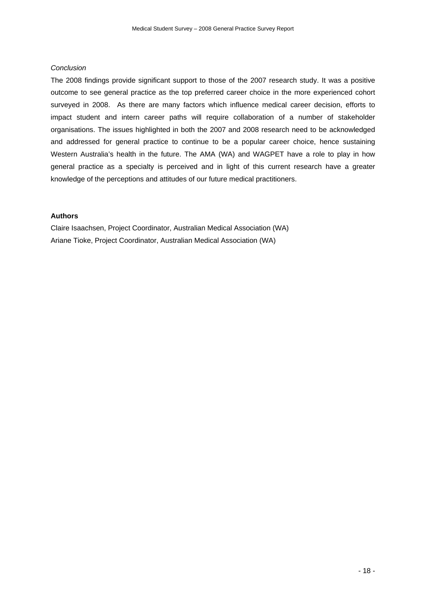## *Conclusion*

The 2008 findings provide significant support to those of the 2007 research study. It was a positive outcome to see general practice as the top preferred career choice in the more experienced cohort surveyed in 2008. As there are many factors which influence medical career decision, efforts to impact student and intern career paths will require collaboration of a number of stakeholder organisations. The issues highlighted in both the 2007 and 2008 research need to be acknowledged and addressed for general practice to continue to be a popular career choice, hence sustaining Western Australia's health in the future. The AMA (WA) and WAGPET have a role to play in how general practice as a specialty is perceived and in light of this current research have a greater knowledge of the perceptions and attitudes of our future medical practitioners.

## **Authors**

Claire Isaachsen, Project Coordinator, Australian Medical Association (WA) Ariane Tioke, Project Coordinator, Australian Medical Association (WA)